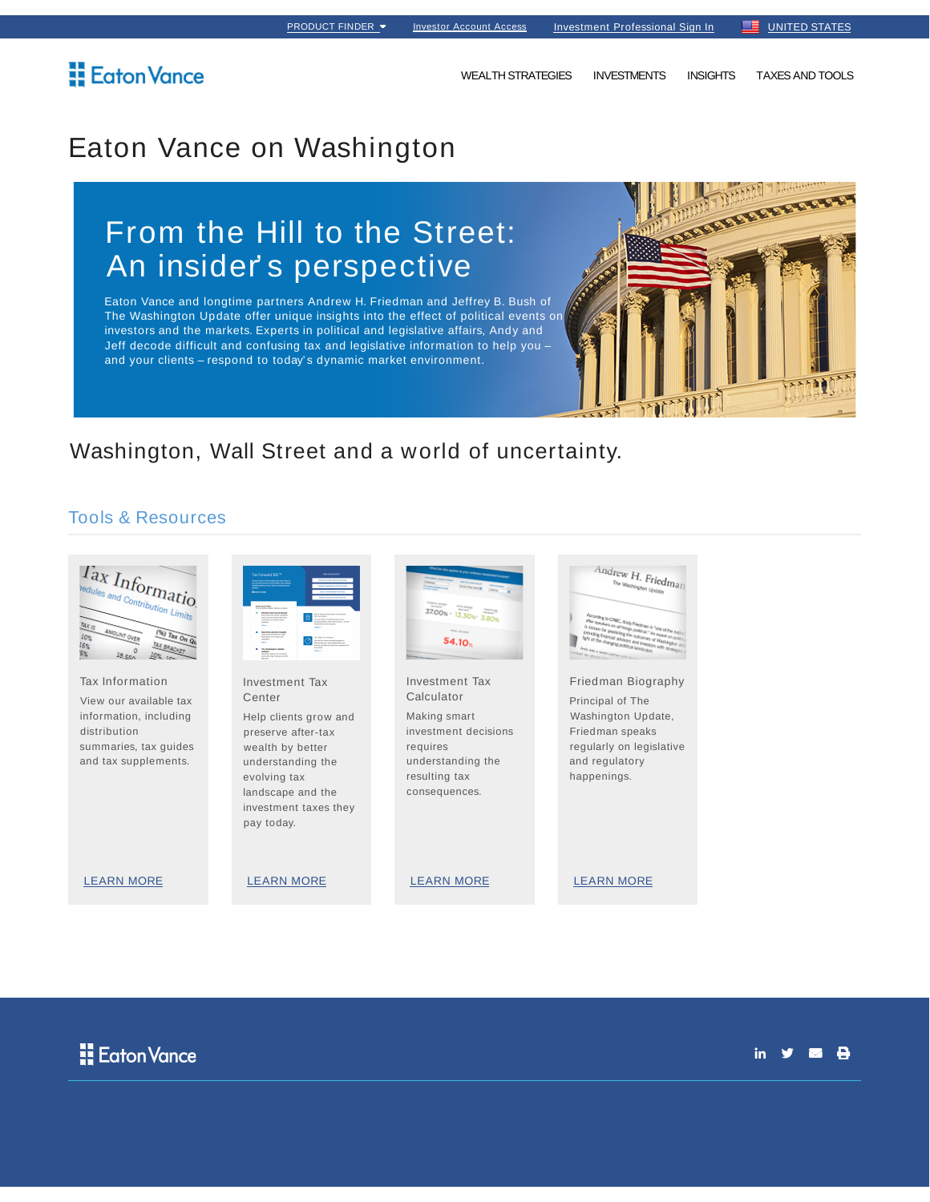## Eaton Vance

WEALTH STRATEGIES INVESTMENTS INSIGHTS TAXES AND TOOLS

## Eaton Vance on Washington

# From the Hill to the Street: An insider' s perspective

Eaton Vance and longtime partners Andrew H. Friedman and Jeffrey B. Bush of The Washington Update offer unique insights into the effect of political events on investors and the markets. Experts in political and legislative affairs, Andy and Jeff decode difficult and confusing tax and legislative information to help you – and your clients – respond to today' s dynamic market environment.



### Washington, Wall Street and a world of uncertainty.

#### Tools & Resources





in  $y = \theta$